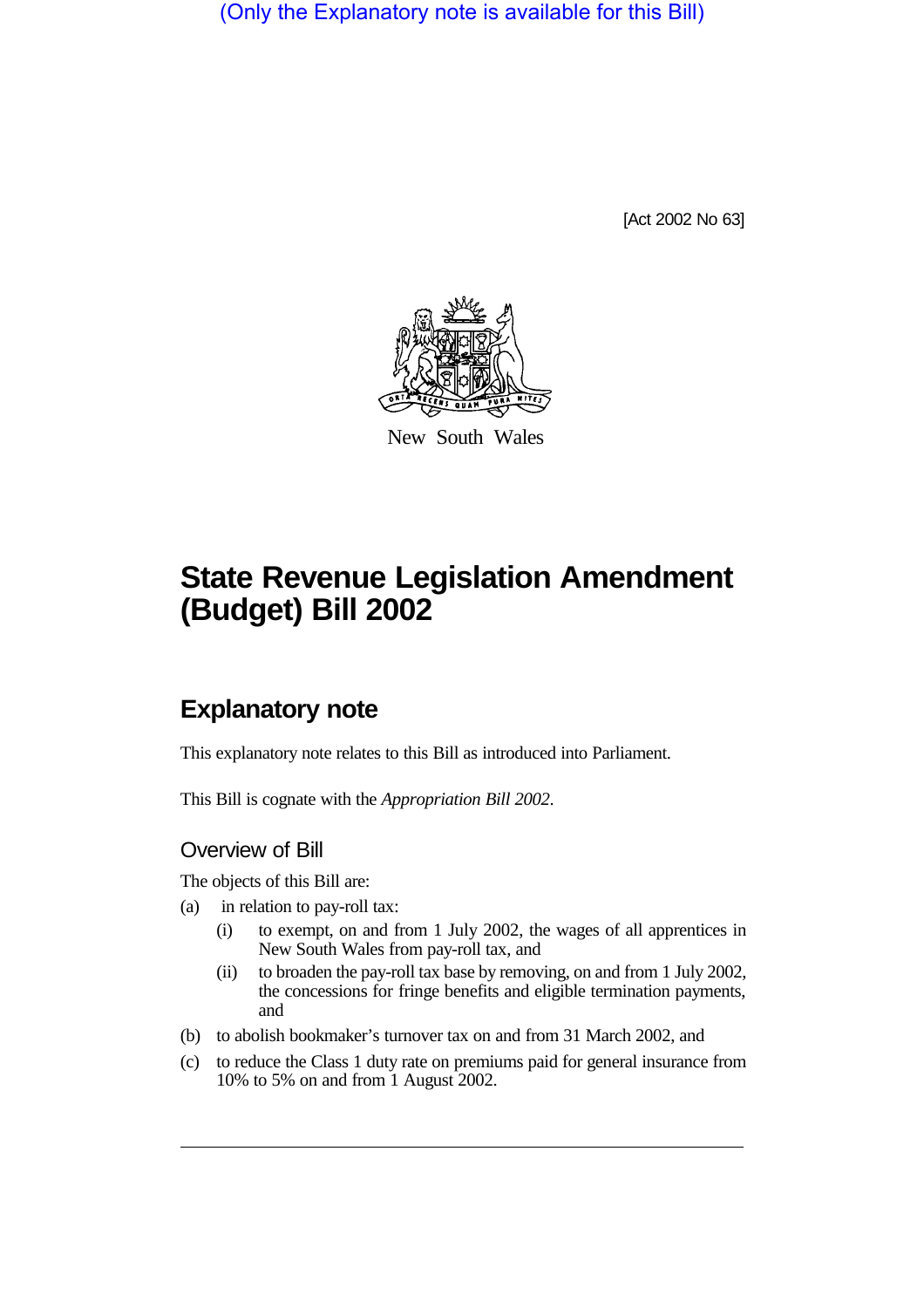(Only the Explanatory note is available for this Bill)

[Act 2002 No 63]



New South Wales

# **State Revenue Legislation Amendment (Budget) Bill 2002**

## **Explanatory note**

This explanatory note relates to this Bill as introduced into Parliament.

This Bill is cognate with the *Appropriation Bill 2002*.

## Overview of Bill

The objects of this Bill are:

- (a) in relation to pay-roll tax:
	- (i) to exempt, on and from 1 July 2002, the wages of all apprentices in New South Wales from pay-roll tax, and
	- (ii) to broaden the pay-roll tax base by removing, on and from 1 July 2002, the concessions for fringe benefits and eligible termination payments, and
- (b) to abolish bookmaker's turnover tax on and from 31 March 2002, and
- (c) to reduce the Class 1 duty rate on premiums paid for general insurance from 10% to 5% on and from 1 August 2002.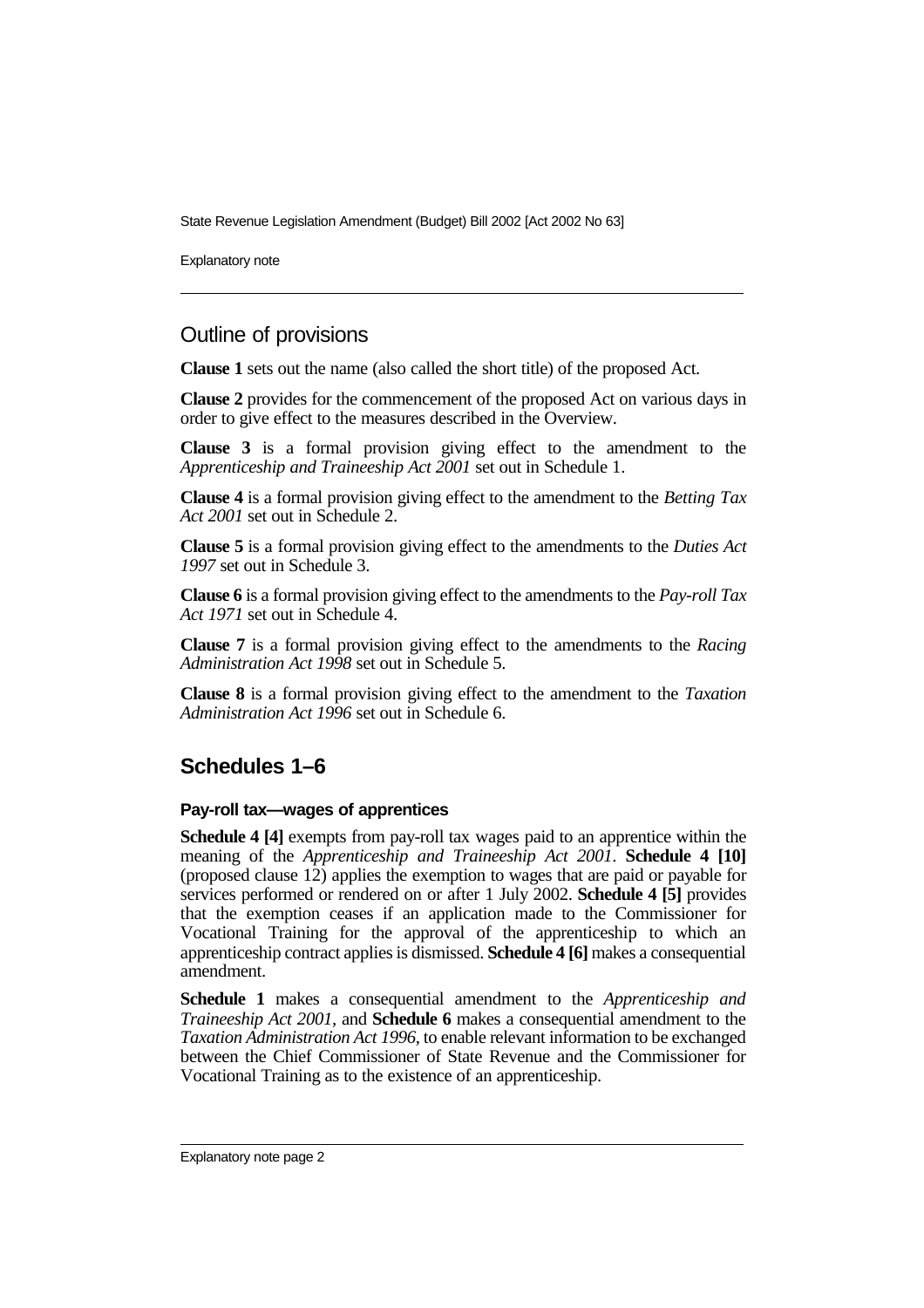State Revenue Legislation Amendment (Budget) Bill 2002 [Act 2002 No 63]

Explanatory note

## Outline of provisions

**Clause 1** sets out the name (also called the short title) of the proposed Act.

**Clause 2** provides for the commencement of the proposed Act on various days in order to give effect to the measures described in the Overview.

**Clause 3** is a formal provision giving effect to the amendment to the *Apprenticeship and Traineeship Act 2001* set out in Schedule 1.

**Clause 4** is a formal provision giving effect to the amendment to the *Betting Tax Act 2001* set out in Schedule 2.

**Clause 5** is a formal provision giving effect to the amendments to the *Duties Act 1997* set out in Schedule 3.

**Clause 6** is a formal provision giving effect to the amendments to the *Pay-roll Tax Act 1971* set out in Schedule 4.

**Clause 7** is a formal provision giving effect to the amendments to the *Racing Administration Act 1998* set out in Schedule 5.

**Clause 8** is a formal provision giving effect to the amendment to the *Taxation Administration Act 1996* set out in Schedule 6.

## **Schedules 1–6**

#### **Pay-roll tax—wages of apprentices**

**Schedule 4 [4]** exempts from pay-roll tax wages paid to an apprentice within the meaning of the *Apprenticeship and Traineeship Act 2001*. **Schedule 4 [10]** (proposed clause 12) applies the exemption to wages that are paid or payable for services performed or rendered on or after 1 July 2002. **Schedule 4 [5]** provides that the exemption ceases if an application made to the Commissioner for Vocational Training for the approval of the apprenticeship to which an apprenticeship contract applies is dismissed. **Schedule 4 [6]** makes a consequential amendment.

**Schedule 1** makes a consequential amendment to the *Apprenticeship and Traineeship Act 2001*, and **Schedule 6** makes a consequential amendment to the *Taxation Administration Act 1996*, to enable relevant information to be exchanged between the Chief Commissioner of State Revenue and the Commissioner for Vocational Training as to the existence of an apprenticeship.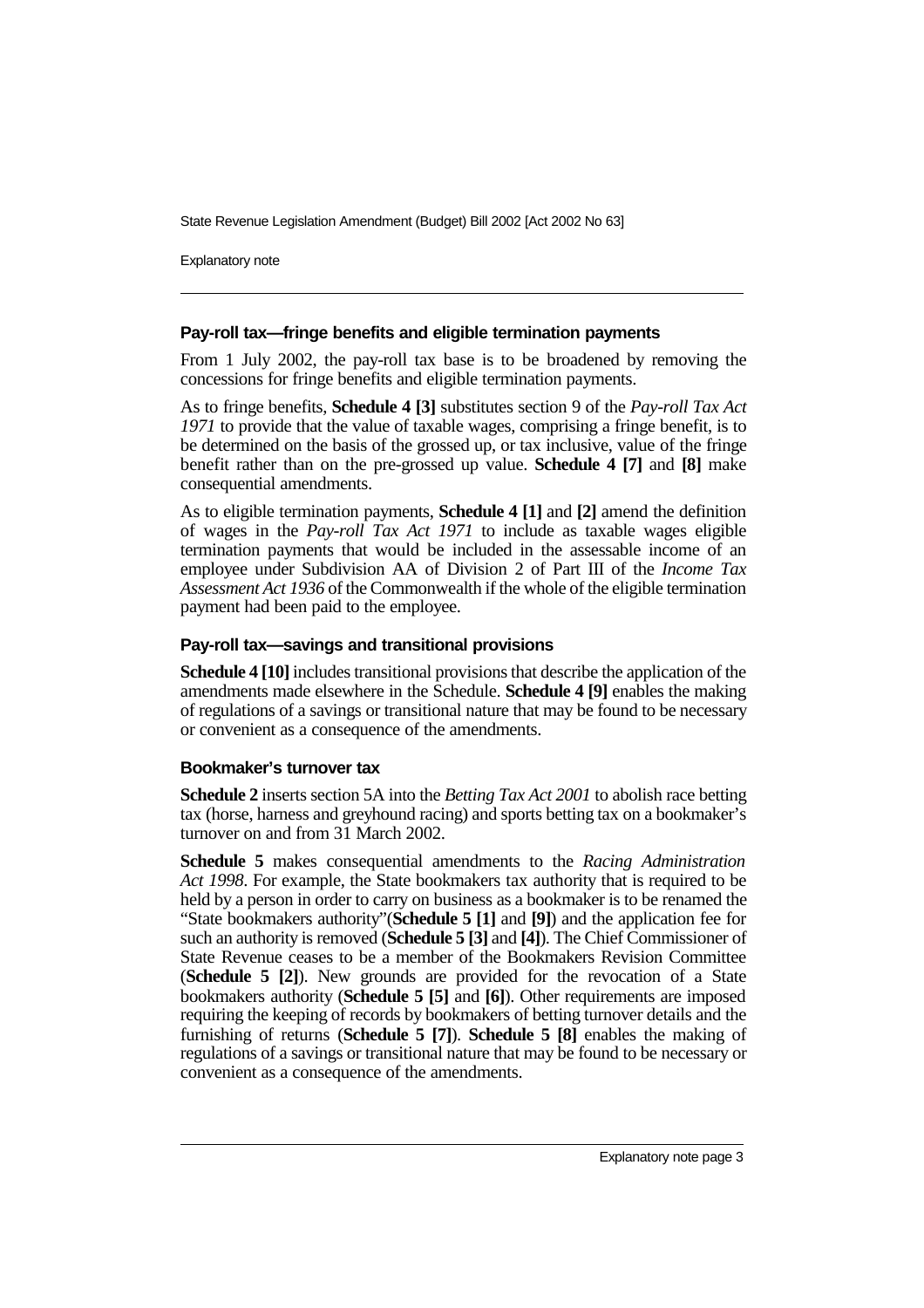State Revenue Legislation Amendment (Budget) Bill 2002 [Act 2002 No 63]

Explanatory note

#### **Pay-roll tax—fringe benefits and eligible termination payments**

From 1 July 2002, the pay-roll tax base is to be broadened by removing the concessions for fringe benefits and eligible termination payments.

As to fringe benefits, **Schedule 4 [3]** substitutes section 9 of the *Pay-roll Tax Act 1971* to provide that the value of taxable wages, comprising a fringe benefit, is to be determined on the basis of the grossed up, or tax inclusive, value of the fringe benefit rather than on the pre-grossed up value. **Schedule 4 [7]** and **[8]** make consequential amendments.

As to eligible termination payments, **Schedule 4 [1]** and **[2]** amend the definition of wages in the *Pay-roll Tax Act 1971* to include as taxable wages eligible termination payments that would be included in the assessable income of an employee under Subdivision AA of Division 2 of Part III of the *Income Tax Assessment Act 1936* of the Commonwealth if the whole of the eligible termination payment had been paid to the employee.

#### **Pay-roll tax—savings and transitional provisions**

**Schedule 4 [10]** includes transitional provisions that describe the application of the amendments made elsewhere in the Schedule. **Schedule 4 [9]** enables the making of regulations of a savings or transitional nature that may be found to be necessary or convenient as a consequence of the amendments.

#### **Bookmaker's turnover tax**

**Schedule 2** inserts section 5A into the *Betting Tax Act 2001* to abolish race betting tax (horse, harness and greyhound racing) and sports betting tax on a bookmaker's turnover on and from 31 March 2002.

**Schedule 5** makes consequential amendments to the *Racing Administration Act 1998*. For example, the State bookmakers tax authority that is required to be held by a person in order to carry on business as a bookmaker is to be renamed the "State bookmakers authority"(**Schedule 5 [1]** and **[9]**) and the application fee for such an authority is removed (**Schedule 5 [3]** and **[4]**). The Chief Commissioner of State Revenue ceases to be a member of the Bookmakers Revision Committee (**Schedule 5 [2]**). New grounds are provided for the revocation of a State bookmakers authority (**Schedule 5 [5]** and **[6]**). Other requirements are imposed requiring the keeping of records by bookmakers of betting turnover details and the furnishing of returns (**Schedule 5 [7]**). **Schedule 5 [8]** enables the making of regulations of a savings or transitional nature that may be found to be necessary or convenient as a consequence of the amendments.